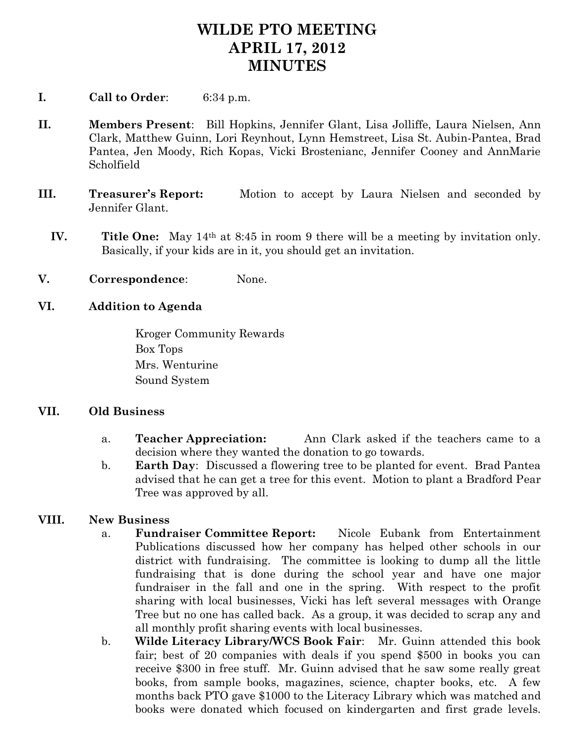## **WILDE PTO MEETING APRIL 17, 2012 MINUTES**

- **I. Call to Order**: 6:34 p.m.
- **II. Members Present**: Bill Hopkins, Jennifer Glant, Lisa Jolliffe, Laura Nielsen, Ann Clark, Matthew Guinn, Lori Reynhout, Lynn Hemstreet, Lisa St. Aubin-Pantea, Brad Pantea, Jen Moody, Rich Kopas, Vicki Brostenianc, Jennifer Cooney and AnnMarie Scholfield
- **III. Treasurer's Report:** Motion to accept by Laura Nielsen and seconded by Jennifer Glant.
	- **IV. Title One:** May 14th at 8:45 in room 9 there will be a meeting by invitation only. Basically, if your kids are in it, you should get an invitation.
- **V. Correspondence**: None.

## **VI. Addition to Agenda**

Kroger Community Rewards Box Tops Mrs. Wenturine Sound System

## **VII. Old Business**

- a. **Teacher Appreciation:** Ann Clark asked if the teachers came to a decision where they wanted the donation to go towards.
- b. **Earth Day**: Discussed a flowering tree to be planted for event. Brad Pantea advised that he can get a tree for this event. Motion to plant a Bradford Pear Tree was approved by all.

## **VIII. New Business**

- a. **Fundraiser Committee Report:** Nicole Eubank from Entertainment Publications discussed how her company has helped other schools in our district with fundraising. The committee is looking to dump all the little fundraising that is done during the school year and have one major fundraiser in the fall and one in the spring. With respect to the profit sharing with local businesses, Vicki has left several messages with Orange Tree but no one has called back. As a group, it was decided to scrap any and all monthly profit sharing events with local businesses.
- b. **Wilde Literacy Library/WCS Book Fair**: Mr. Guinn attended this book fair; best of 20 companies with deals if you spend \$500 in books you can receive \$300 in free stuff. Mr. Guinn advised that he saw some really great books, from sample books, magazines, science, chapter books, etc. A few months back PTO gave \$1000 to the Literacy Library which was matched and books were donated which focused on kindergarten and first grade levels.